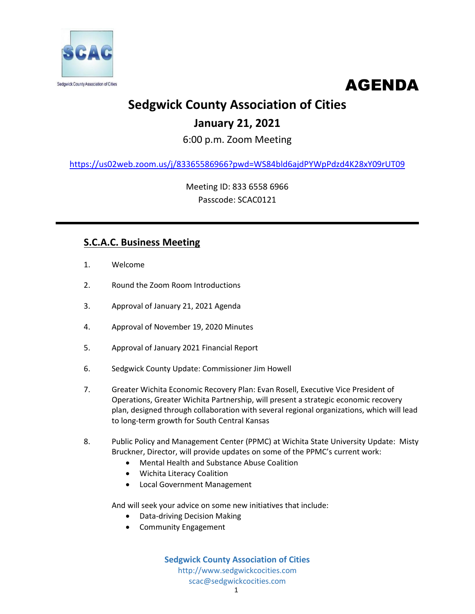



# **Sedgwick County Association of Cities**

### **January 21, 2021**

6:00 p.m. Zoom Meeting

<https://us02web.zoom.us/j/83365586966?pwd=WS84bld6ajdPYWpPdzd4K28xY09rUT09>

Meeting ID: 833 6558 6966 Passcode: SCAC0121

### **S.C.A.C. Business Meeting**

- 1. Welcome
- 2. Round the Zoom Room Introductions
- 3. Approval of January 21, 2021 Agenda
- 4. Approval of November 19, 2020 Minutes
- 5. Approval of January 2021 Financial Report
- 6. Sedgwick County Update: Commissioner Jim Howell
- 7. Greater Wichita Economic Recovery Plan: Evan Rosell, Executive Vice President of Operations, Greater Wichita Partnership, will present a strategic economic recovery plan, designed through collaboration with several regional organizations, which will lead to long-term growth for South Central Kansas
- 8. Public Policy and Management Center (PPMC) at Wichita State University Update: Misty Bruckner, Director, will provide updates on some of the PPMC's current work:
	- Mental Health and Substance Abuse Coalition
	- Wichita Literacy Coalition
	- Local Government Management

And will seek your advice on some new initiatives that include:

- Data-driving Decision Making
- Community Engagement

**Sedgwick County Association of Cities** http://www.sedgwickcocities.com scac@sedgwickcocities.com 1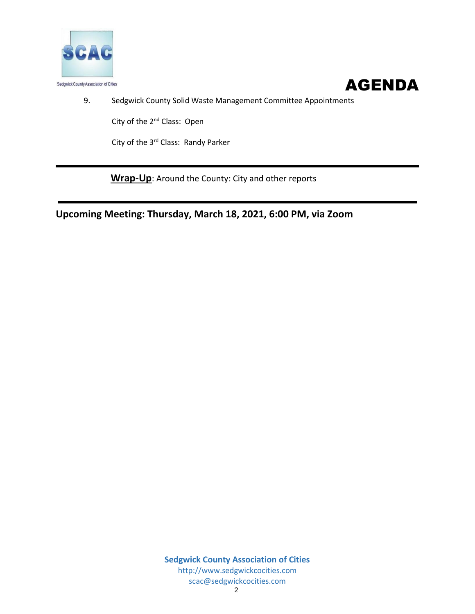



9. Sedgwick County Solid Waste Management Committee Appointments

City of the 2<sup>nd</sup> Class: Open

City of the 3<sup>rd</sup> Class: Randy Parker

**Wrap-Up**: Around the County: City and other reports

**Upcoming Meeting: Thursday, March 18, 2021, 6:00 PM, via Zoom**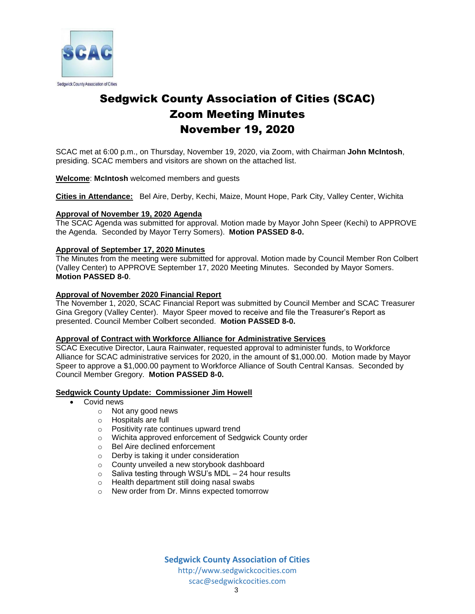

## Sedgwick County Association of Cities (SCAC) Zoom Meeting Minutes November 19, 2020

SCAC met at 6:00 p.m., on Thursday, November 19, 2020, via Zoom, with Chairman **John McIntosh**, presiding. SCAC members and visitors are shown on the attached list.

#### **Welcome**: **McIntosh** welcomed members and guests

**Cities in Attendance:** Bel Aire, Derby, Kechi, Maize, Mount Hope, Park City, Valley Center, Wichita

#### **Approval of November 19, 2020 Agenda**

The SCAC Agenda was submitted for approval. Motion made by Mayor John Speer (Kechi) to APPROVE the Agenda. Seconded by Mayor Terry Somers). **Motion PASSED 8-0.**

#### **Approval of September 17, 2020 Minutes**

The Minutes from the meeting were submitted for approval. Motion made by Council Member Ron Colbert (Valley Center) to APPROVE September 17, 2020 Meeting Minutes. Seconded by Mayor Somers. **Motion PASSED 8-0**.

### **Approval of November 2020 Financial Report**

The November 1, 2020, SCAC Financial Report was submitted by Council Member and SCAC Treasurer Gina Gregory (Valley Center). Mayor Speer moved to receive and file the Treasurer's Report as presented. Council Member Colbert seconded. **Motion PASSED 8-0.**

#### **Approval of Contract with Workforce Alliance for Administrative Services**

SCAC Executive Director, Laura Rainwater, requested approval to administer funds, to Workforce Alliance for SCAC administrative services for 2020, in the amount of \$1,000.00. Motion made by Mayor Speer to approve a \$1,000.00 payment to Workforce Alliance of South Central Kansas. Seconded by Council Member Gregory. **Motion PASSED 8-0.**

#### **Sedgwick County Update: Commissioner Jim Howell**

- Covid news
	- o Not any good news
	- o Hospitals are full
	- o Positivity rate continues upward trend
	- o Wichita approved enforcement of Sedgwick County order
	- o Bel Aire declined enforcement
	- o Derby is taking it under consideration
	- o County unveiled a new storybook dashboard
	- o Saliva testing through WSU's MDL 24 hour results
	- o Health department still doing nasal swabs
	- o New order from Dr. Minns expected tomorrow

**Sedgwick County Association of Cities** http://www.sedgwickcocities.com scac@sedgwickcocities.com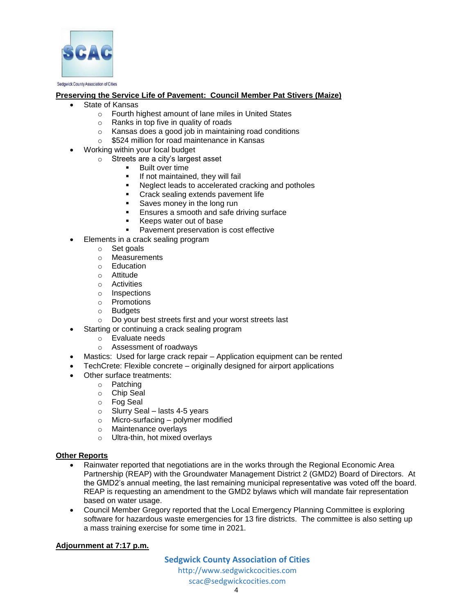

#### Sedgwick County Association of Cities

#### **Preserving the Service Life of Pavement: Council Member Pat Stivers (Maize)**

- State of Kansas
	- o Fourth highest amount of lane miles in United States
	- o Ranks in top five in quality of roads
	- o Kansas does a good job in maintaining road conditions
	- o \$524 million for road maintenance in Kansas
- Working within your local budget
	- o Streets are a city's largest asset
		- **Built over time**
		- If not maintained, they will fail
		- Neglect leads to accelerated cracking and potholes
		- **Crack sealing extends pavement life**
		- Saves money in the long run
		- **Ensures a smooth and safe driving surface**
		- Keeps water out of base
		- Pavement preservation is cost effective
- Elements in a crack sealing program
	- o Set goals<br>
	o Measuren
	- **Measurements**
	- o Education
	- o Attitude
	- o Activities
	- o Inspections
	- o Promotions
	- o Budgets
	- o Do your best streets first and your worst streets last
	- Starting or continuing a crack sealing program
		- o Evaluate needs
		- o Assessment of roadways
- Mastics: Used for large crack repair Application equipment can be rented
- TechCrete: Flexible concrete originally designed for airport applications
- Other surface treatments:
	- o Patching
	- o Chip Seal
	- o Fog Seal
	- $\circ$  Slurry Seal lasts 4-5 years
	- o Micro-surfacing polymer modified
	- o Maintenance overlays
	- o Ultra-thin, hot mixed overlays

#### **Other Reports**

- Rainwater reported that negotiations are in the works through the Regional Economic Area Partnership (REAP) with the Groundwater Management District 2 (GMD2) Board of Directors. At the GMD2's annual meeting, the last remaining municipal representative was voted off the board. REAP is requesting an amendment to the GMD2 bylaws which will mandate fair representation based on water usage.
- Council Member Gregory reported that the Local Emergency Planning Committee is exploring software for hazardous waste emergencies for 13 fire districts. The committee is also setting up a mass training exercise for some time in 2021.

#### **Adjournment at 7:17 p.m.**

**Sedgwick County Association of Cities**

http://www.sedgwickcocities.com scac@sedgwickcocities.com